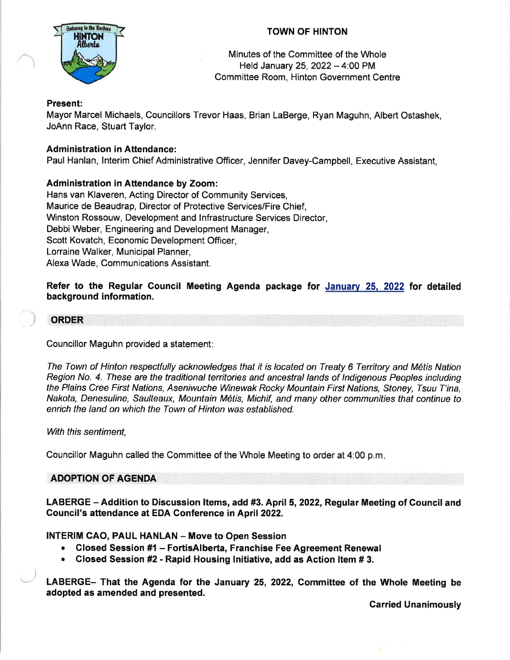# TOWN OF HINTON



Minutes of the Committee of the Whole Held January 25, 2022  $-$  4:00 PM Committee Room, Hinton Government Centre

## Present:

Mayor Marcel Michaels, Councillors Trevor Haas, Brian LaBerge, Ryan Maguhn, Albert Ostashek, JoAnn Race, Stuart Taylor.

# Administration in Attendance:

Paul Hanlan, lnterim Chief Administrative Officer, Jennifer Davey-Campbell, Executive Assistant,

# Administration in Attendance by Zoom:

Hans van Klaveren, Acting Director of Community Services, Maurice de Beaudrap, Director of Protective Services/Fire Chief, Winston Rossouw, Development and lnfrastructure Services Director, Debbi Weber, Engineering and Development Manager, Scott Kovatch, Economic Development Officer, Lorraine Walker, Municipal Planner, Alexa Wade, Communications Assistant.

Refer to the Regular Council Meeting Agenda package for January 25, 2022 for detailed background information.

### **ORDER**

Councillor Maguhn provided a statement

The Town of Hinton respectfully acknowledges that it is located on Treaty 6 Territory and M6tis Nation Region No. 4. These are the traditional territories and ancestral lands of Indigenous Peoples including the Plains Cree First Nations, Aseniwuche Winewak Rocky Mountain First Nations, Sfoney, Tsuu T'ina, Nakota, Denesuline, Saulteaux, Mountain M6tis, Michif, and many other communities that continue to enrich the land on which the Town of Hinton was established.

With this sentiment,

,)

Councillor Maguhn called the Committee of the Whole Meeting to order at 4:00 p.m

## ADOPTION OF AGENDA

LABERGE – Addition to Discussion Items, add #3. April 5, 2022, Regular Meeting of Council and Gouncil's aftendance at EDA Conference in April 2022.

**INTERIM CAO, PAUL HANLAN - Move to Open Session** 

- Closed Session #1 FortisAlberta, Franchise Fee Agreement Renewal
- Closed Session #2 Rapid Housing Initiative, add as Action Item # 3.

LABERGE- That the Agenda for the January 25, 2022, Committee of the Whole Meeting be adopted as amended and presented.

Carried Unanimously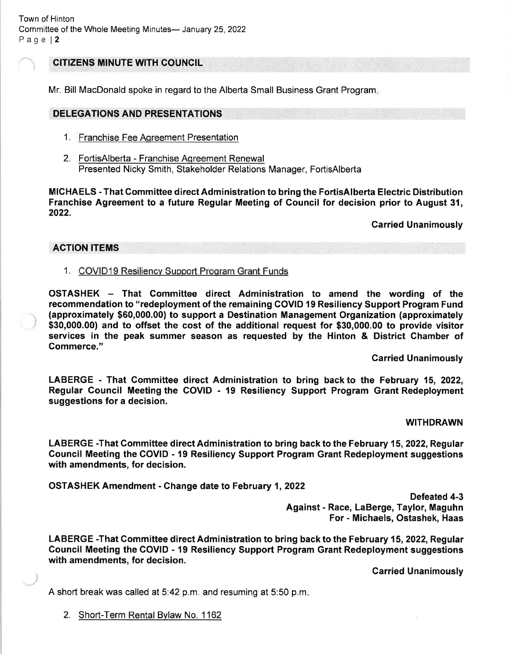# CITIZENS MINUTE WITH COUNCIL

Mr. Bill MacDonald spoke in regard to the Alberta Small Business Grant Program

### DELEGATIONS AND PRESENTATIONS

- 1. Franchise Fee Aqreement Presentation
- 2. FortisAlberta Franchise Aqreement Renewal Presented Nicky Smith, Stakeholder Relations Manager, FortisAlberta

MICHAELS - That Gommittee direct Administration to bring the FortisAlberta Electric Distribution Franchise Agreement to a future Regular Meeting of Gouncil for decision prior to August 31, 2022.

Carried Unanimously

#### ACTION ITEMS

### 1. COVID19 Resiliency Support Program Grant Funds

OSTASHEK - That Committee direct Administration to amend the wording of the recommendation to "redeployment of the remaining COVID 19 Resiliency Support Program Fund (approximately \$60,000.00) to support a Destination Management Organization (approximately \$30,000.00) and to offset the cost of the additional request for \$30,000.00 to provide visitor services in the peak summer season as requested by the Hinton & District Chamber of Gommerce."

Garried Unanimously

LABERGE - That Gommittee direct Administration to bring back to the February 15, 2022, Regular Gouncil Meeting the GOVID - 19 Resiliency Support Program Grant Redeployment suggestions for a decision.

#### WITHDRAWN

LABERGE -That Committee direct Administration to bring back to the February 15, 2022, Regular Gouncil Meeting the GOVID - 19 Resiliency Support Program Grant Redeployment suggestions with amendments, for decision.

OSTASHEK Amendment - Ghange date to February 1,2022

Defeated 4-3 Against - Race, LaBerge, Taylor, Maguhn For - Michaels, Ostashek, Haas

LABERGE -That Committee direct Administration to bring back to the February 15, 2022, Regular Gouncil Meeting the COVID - 19 Resiliency Support Program Grant Redeployment suggestions with amendments, for decision.

Carried Unanimously

A short break was called at  $5.42$  p.m. and resuming at  $5.50$  p.m.

2. Short-Term Rental Bylaw No. 1162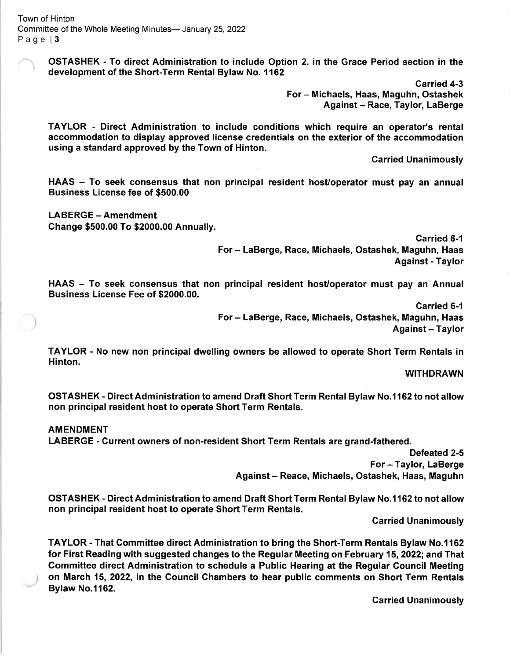OSTASHEK - To direct Administration to include Option 2. in the Grace Period section in the development of the Short-Term Rental Bylaw No. 1162

> Garried 4-3 For - Michaels, Haas, Maguhn, Ostashek Against - Race, Taylor, LaBerge

TAYLOR - Direct Administration to include conditions which require an operator's rental accommodation to display approved license credentials on the exterior of the accommodation using a standard approved by the Town of Hinton.

Garried Unanimously

HAAS - To seek consensus that non principal resident host/operator must pay an annual Business License fee of \$500.00

LABERGE - Amendment Change \$500.00 To \$2000.00 Annually.

Carried 6-1

For - LaBerge, Race, Michaels, Ostashek, Maguhn, Haas Against - Taylor

HAAS - To seek consensus that non principal resident host/operator must pay an Annual Business License Fee of \$2000.00.

> Carried 6-1 For - LaBerge, Race, Michaels, Ostashek, Maguhn, Haas Against - Taylor

TAYLOR - No new non principal dwelling owners be allowed to operate Short Term Rentals in Hinton.

WITHDRAWN

OSTASHEK - Direct Administration to amend Draft Short Term Rental Bylaw No.1162 to not allow non principal resident host to operate Short Term Rentals.

#### AMENDMENT

LABERGE - Gurrent owners of non-resident Short Term Rentals are grand-fathered.

Defeated 2-5 For - Taylor, LaBerge Against - Reace, Michaels, Ostashek, Haas, Maguhn

OSTASHEK - Direct Administration to amend Draft Short Term Rental Bylaw No.1 162 to not allow non principal resident host to operate Short Term Rentals.

Garried Unanimously

TAYLOR - That Committee direct Administration to bring the Short-Term Rentals Bylaw No.1162 for First Reading with suggested changes to the Regular Meeting on February 15, 2022; and That Gommittee direct Administration to schedule a Public Hearing at the Regular Council Meeting on March 15,2022, in the Gouncil Chambers to hear public comments on Short Term Rentals Bylaw No.1162.

Carried Unanimously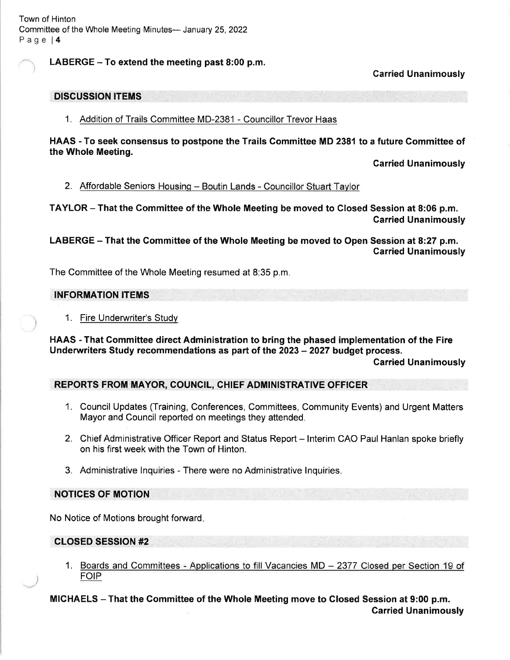# LABERGE  $-$  To extend the meeting past 8:00 p.m.

Carried Unanimously

### DISCUSSION ITEMS

1. Addition of Trails Committee MD-2381 - Councillor Trevor Haas

HAAS - To seek consensus to postpone the Trails Gommittee MD 2381 to a future Gommittee of the Whole Meeting.

Carried Unanimously

#### 2. Affordable Seniors Housing - Boutin Lands - Councillor Stuart Taylor

TAYLOR - That the Gommittee of the Whole Meeting be moved to Closed Session at 8:06 p.m. Carried Unanimously

LABERGE - That the Committee of the Whole Meeting be moved to Open Session at 8:27 p.m. Carried Unanimously

The Committee of the Whole Meeting resumed at 8:35 p.m.

### INFORMATION ITEMS

1. Fire Underwriter's Study

HAAS - That Committee direct Administration to bring the phased implementation of the Fire Underwriters Study recommendations as part of the 2023 - 2027 budget process.

### Carried Unanimously

## REPORTS FROM MAYOR, COUNCIL, CHIEF ADMINISTRATIVE OFFICER

- 1. Council Updates (Training, Conferences, Committees, Community Events) and Urgent Matters Mayor and Council reported on meetings they attended.
- 2. Chief Administrative Officer Report and Status Report Interim CAO Paul Hanlan spoke briefly on his first week with the Town of Hinton.
- 3. Administrative lnquiries There were no Administrative lnquiries.

### NOTICES OF MOTION

No Notice of Motions brought forward.

#### CLOSED SESSION #2

1. Boards and Committees - Applications to fill Vacancies MD - 2377 Closed per Section 19 of FOIP

MICHAELS - That the Gommittee of the Whole Meeting move to Glosed Session at 9:00 p.m. Garried Unanimously